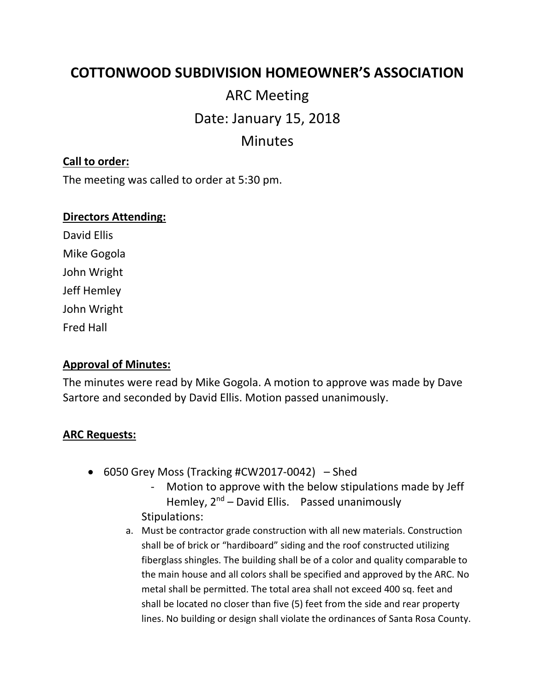# **COTTONWOOD SUBDIVISION HOMEOWNER'S ASSOCIATION**

# ARC Meeting Date: January 15, 2018 Minutes

## **Call to order:**

The meeting was called to order at 5:30 pm.

#### **Directors Attending:**

David Ellis Mike Gogola John Wright Jeff Hemley John Wright Fred Hall

## **Approval of Minutes:**

The minutes were read by Mike Gogola. A motion to approve was made by Dave Sartore and seconded by David Ellis. Motion passed unanimously.

#### **ARC Requests:**

- 6050 Grey Moss (Tracking #CW2017-0042) Shed
	- Motion to approve with the below stipulations made by Jeff Hemley,  $2^{nd}$  – David Ellis. Passed unanimously Stipulations:
	- a. Must be contractor grade construction with all new materials. Construction shall be of brick or "hardiboard" siding and the roof constructed utilizing fiberglass shingles. The building shall be of a color and quality comparable to the main house and all colors shall be specified and approved by the ARC. No metal shall be permitted. The total area shall not exceed 400 sq. feet and shall be located no closer than five (5) feet from the side and rear property lines. No building or design shall violate the ordinances of Santa Rosa County.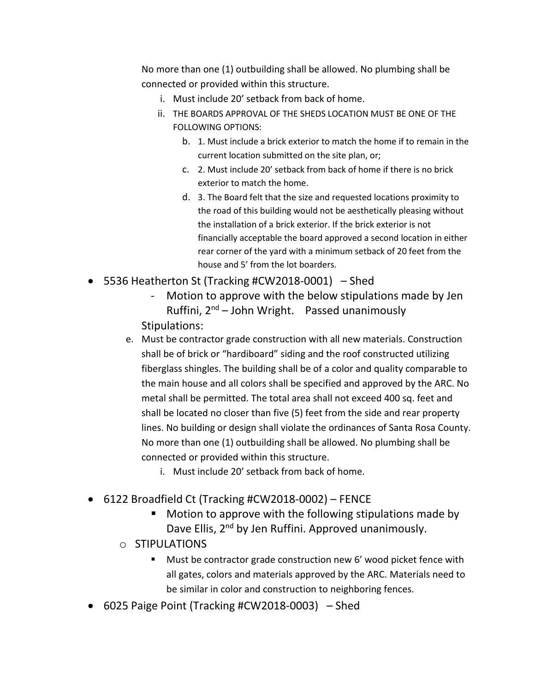No more than one (1) outbuilding shall be allowed. No plumbing shall be connected or provided within this structure.

- i. Must include 20' setback from back of home.
- ii. THE BOARDS APPROVAL OF THE SHEDS LOCATION MUST BE ONE OF THE FOLLOWING OPTIONS:
	- b. 1. Must include a brick exterior to match the home if to remain in the current location submitted on the site plan, or;
	- c. 2. Must include 20' setback from back of home if there is no brick exterior to match the home.
	- d. 3. The Board felt that the size and requested locations proximity to the road of this building would not be aesthetically pleasing without the installation of a brick exterior. If the brick exterior is not financially acceptable the board approved a second location in either rear corner of the yard with a minimum setback of 20 feet from the house and 5' from the lot boarders.
- 5536 Heatherton St (Tracking #CW2018-0001) Shed
	- Motion to approve with the below stipulations made by Jen Ruffini,  $2^{nd}$  – John Wright. Passed unanimously Stipulations:
	- e. Must be contractor grade construction with all new materials. Construction shall be of brick or "hardiboard" siding and the roof constructed utilizing fiberglass shingles. The building shall be of a color and quality comparable to the main house and all colors shall be specified and approved by the ARC. No metal shall be permitted. The total area shall not exceed 400 sq. feet and shall be located no closer than five (5) feet from the side and rear property lines. No building or design shall violate the ordinances of Santa Rosa County. No more than one (1) outbuilding shall be allowed. No plumbing shall be connected or provided within this structure.
		- i. Must include 20' setback from back of home.
- 6122 Broadfield Ct (Tracking #CW2018-0002) FENCE
	- Motion to approve with the following stipulations made by Dave Ellis, 2<sup>nd</sup> by Jen Ruffini. Approved unanimously.
	- o STIPULATIONS
		- Must be contractor grade construction new 6' wood picket fence with all gates, colors and materials approved by the ARC. Materials need to be similar in color and construction to neighboring fences.
- 6025 Paige Point (Tracking #CW2018-0003) Shed